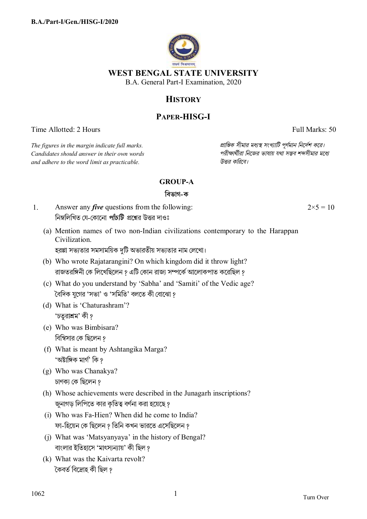

# **HISTORY**

## **PAPER-HISG-I**

Time Allotted: 2 Hours Full Marks: 50

*The figures in the margin indicate full marks. pািnক সীমার মধ°s সংখ°ািট পূণমান িনেদশ কের।*  $C$ *andidates should answer in their own words and adhere to the word limit as practicable. উtর কিরেব।*

### **GROUP-A**

### **িবভাগ-ক**

- 1. Answer any *five* questions from the following: নিম্নলিখিত যে-কোনো *পাঁচটি প্র*শ্নের উত্তর দাওঃ
	- (a) Mention names of two non-Indian civilizations contemporary to the Harappan Civilization.

হরপ্পা সভ্যতার সমসাময়িক দটি অভারতীয় সভ্যতার নাম লেখো।

- (b) Who wrote Rajatarangini? On which kingdom did it throw light? রাজতরঙ্গিনী কে লিখেছিলেন ? এটি কোন রাজ্য সম্পর্কে আলোকপাত করেছিল ?
- (c) What do you understand by 'Sabha' and 'Samiti' of the Vedic age? ৈবিদক যুেগর 'সভা' ও 'সিমিত' বলেত কী েবােঝা ?
- (d) What is 'Chaturashram'? 'চতুরাশ্রম' কী ?
- (e) Who was Bimbisara? বিম্বিসার কে ছিলেন ?
- (f) What is meant by Ashtangika Marga? 'অষ্টাঙ্গিক মাৰ্গ' কি *প*
- (g) Who was Chanakya? চাণক্য কে ছিলেন ?
- (h) Whose achievements were described in the Junagarh inscriptions? জুনাগড় লিপিতে কার কৃতিত্ব বর্ণনা করা হয়েছে ?
- (i) Who was Fa-Hien? When did he come to India? ফা-হিয়েন কে ছিলেন ? তিনি কখন ভারতে এসেছিলেন ?
- (j) What was 'Matsyanyaya' in the history of Bengal? বাংলার ইতিহাসে 'মাৎস্যন্যায়' কী ছিল ?
- (k) What was the Kaivarta revolt? কৈবৰ্ত বিদ্ৰোহ কী ছিল ?

 $2 \times 5 = 10$